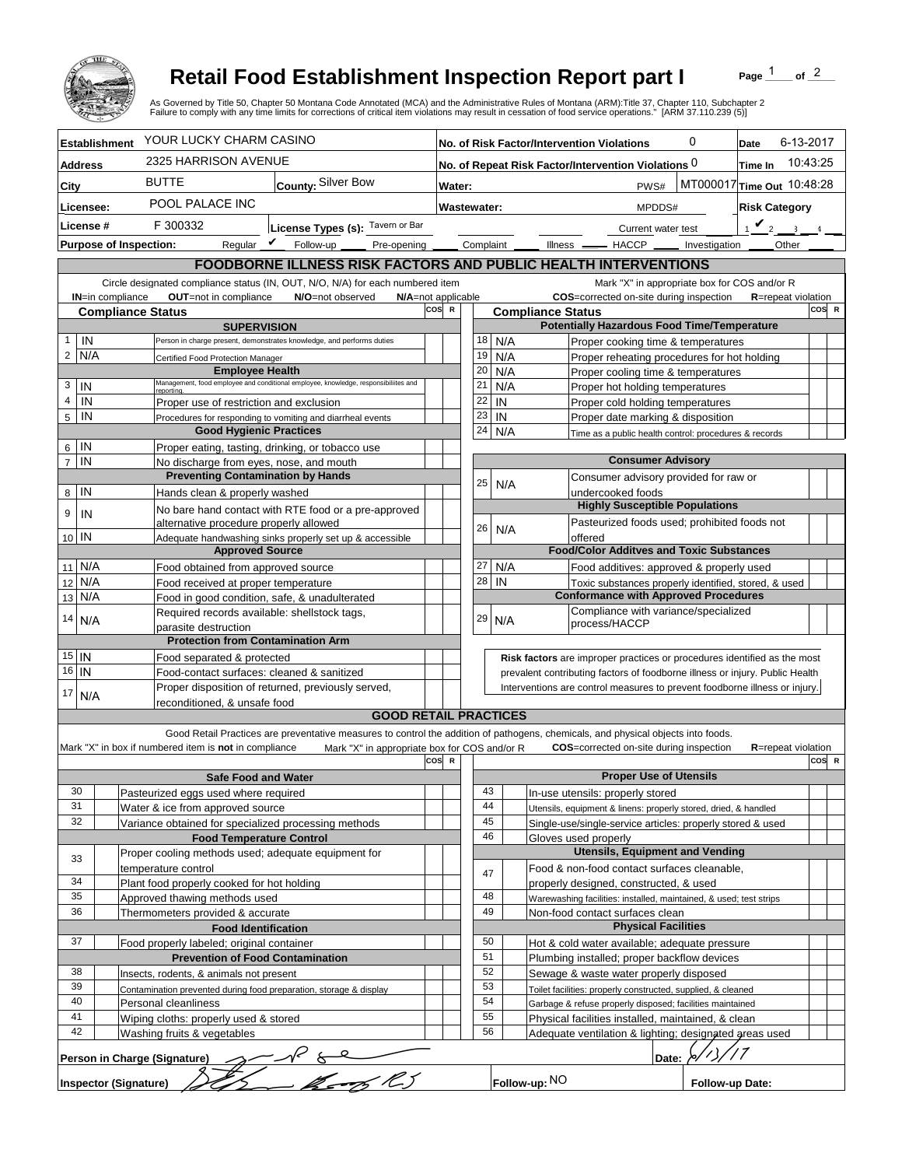

## **Retail Food Establishment Inspection Report part I**

Page  $\frac{1}{1}$  of  $\frac{2}{1}$ 

|                                                                                                                                                                                                                         |     |                                                                                      | <b>Retail Food Establishment Inspection Report part I</b><br>As Governed by Title 50, Chapter 50 Montana Code Annotated (MCA) and the Administrative Rules of Montana (ARM):Title 37, Chapter 110, Subchapter 2<br>Failure to comply with any time limits for corrections of critical item violations may result in cessation of food service operations." [ARM 37.110.239 (5)] |  |                     |                                                                                   |     |                          |                                                                                     |                 | Page                       | of $^2$ |       |
|-------------------------------------------------------------------------------------------------------------------------------------------------------------------------------------------------------------------------|-----|--------------------------------------------------------------------------------------|---------------------------------------------------------------------------------------------------------------------------------------------------------------------------------------------------------------------------------------------------------------------------------------------------------------------------------------------------------------------------------|--|---------------------|-----------------------------------------------------------------------------------|-----|--------------------------|-------------------------------------------------------------------------------------|-----------------|----------------------------|---------|-------|
| <b>Establishment</b>                                                                                                                                                                                                    |     |                                                                                      | YOUR LUCKY CHARM CASINO                                                                                                                                                                                                                                                                                                                                                         |  |                     | 0<br>No. of Risk Factor/Intervention Violations                                   |     |                          |                                                                                     |                 | 6-13-2017<br>Date          |         |       |
| Address                                                                                                                                                                                                                 |     |                                                                                      | 2325 HARRISON AVENUE                                                                                                                                                                                                                                                                                                                                                            |  |                     | 10:43:25<br>No. of Repeat Risk Factor/Intervention Violations 0<br><b>Time In</b> |     |                          |                                                                                     |                 |                            |         |       |
| City                                                                                                                                                                                                                    |     | <b>BUTTE</b>                                                                         | County: Silver Bow                                                                                                                                                                                                                                                                                                                                                              |  |                     | MT000017 Time Out 10:48:28<br>PWS#<br>Water:                                      |     |                          |                                                                                     |                 |                            |         |       |
| Licensee:                                                                                                                                                                                                               |     |                                                                                      | POOL PALACE INC                                                                                                                                                                                                                                                                                                                                                                 |  |                     | Wastewater:                                                                       |     |                          | <b>Risk Category</b><br>MPDDS#                                                      |                 |                            |         |       |
| License #                                                                                                                                                                                                               |     |                                                                                      | F 300332                                                                                                                                                                                                                                                                                                                                                                        |  |                     |                                                                                   |     |                          | $\mathbf{v}_2$                                                                      |                 |                            |         |       |
|                                                                                                                                                                                                                         |     |                                                                                      | License Types (s): Tavern or Bar<br>Regular $\boldsymbol{V}$<br>Follow-up<br>Pre-opening                                                                                                                                                                                                                                                                                        |  |                     | Complaint                                                                         |     |                          | Current water test<br>Other<br>$Ilness$ $-$<br>$-$ HACCP $\_\_$                     |                 |                            |         |       |
| <b>Purpose of Inspection:</b><br>Investigation                                                                                                                                                                          |     |                                                                                      |                                                                                                                                                                                                                                                                                                                                                                                 |  |                     |                                                                                   |     |                          |                                                                                     |                 |                            |         |       |
| FOODBORNE ILLNESS RISK FACTORS AND PUBLIC HEALTH INTERVENTIONS<br>Mark "X" in appropriate box for COS and/or R                                                                                                          |     |                                                                                      |                                                                                                                                                                                                                                                                                                                                                                                 |  |                     |                                                                                   |     |                          |                                                                                     |                 |                            |         |       |
| Circle designated compliance status (IN, OUT, N/O, N/A) for each numbered item<br>OUT=not in compliance<br>COS=corrected on-site during inspection<br><b>IN=in compliance</b><br>N/O=not observed<br>N/A=not applicable |     |                                                                                      |                                                                                                                                                                                                                                                                                                                                                                                 |  |                     |                                                                                   |     |                          | <b>R</b> =repeat violation                                                          |                 |                            |         |       |
|                                                                                                                                                                                                                         |     | <b>Compliance Status</b>                                                             |                                                                                                                                                                                                                                                                                                                                                                                 |  | cos<br>$\mathbb{R}$ |                                                                                   |     | <b>Compliance Status</b> |                                                                                     |                 |                            | COS R   |       |
|                                                                                                                                                                                                                         |     |                                                                                      | <b>SUPERVISION</b>                                                                                                                                                                                                                                                                                                                                                              |  |                     |                                                                                   |     |                          | <b>Potentially Hazardous Food Time/Temperature</b>                                  |                 |                            |         |       |
| $\mathbf{1}$                                                                                                                                                                                                            | IN  |                                                                                      | Person in charge present, demonstrates knowledge, and performs duties                                                                                                                                                                                                                                                                                                           |  |                     | 18                                                                                |     | N/A                      | Proper cooking time & temperatures                                                  |                 |                            |         |       |
| $\overline{2}$                                                                                                                                                                                                          | N/A | Certified Food Protection Manager                                                    | <b>Employee Health</b>                                                                                                                                                                                                                                                                                                                                                          |  |                     | 19<br>20                                                                          |     | N/A                      | Proper reheating procedures for hot holding                                         |                 |                            |         |       |
| 3                                                                                                                                                                                                                       | IN  |                                                                                      | Management, food employee and conditional employee, knowledge, responsibiliites and                                                                                                                                                                                                                                                                                             |  |                     | 21                                                                                | N/A | N/A                      | Proper cooling time & temperatures<br>Proper hot holding temperatures               |                 |                            |         |       |
| $\overline{4}$                                                                                                                                                                                                          | IN  | <b>reporting</b><br>Proper use of restriction and exclusion                          |                                                                                                                                                                                                                                                                                                                                                                                 |  |                     | 22                                                                                | IN  |                          | Proper cold holding temperatures                                                    |                 |                            |         |       |
| $\overline{5}$                                                                                                                                                                                                          | IN  |                                                                                      | Procedures for responding to vomiting and diarrheal events                                                                                                                                                                                                                                                                                                                      |  |                     | 23                                                                                | IN  |                          | Proper date marking & disposition                                                   |                 |                            |         |       |
|                                                                                                                                                                                                                         |     |                                                                                      | <b>Good Hygienic Practices</b>                                                                                                                                                                                                                                                                                                                                                  |  |                     | 24                                                                                |     | N/A                      | Time as a public health control: procedures & records                               |                 |                            |         |       |
| IN<br>6                                                                                                                                                                                                                 |     |                                                                                      | Proper eating, tasting, drinking, or tobacco use                                                                                                                                                                                                                                                                                                                                |  |                     |                                                                                   |     |                          |                                                                                     |                 |                            |         |       |
| $\overline{7}$                                                                                                                                                                                                          | IN  |                                                                                      | No discharge from eyes, nose, and mouth                                                                                                                                                                                                                                                                                                                                         |  |                     |                                                                                   |     |                          | <b>Consumer Advisory</b>                                                            |                 |                            |         |       |
|                                                                                                                                                                                                                         | IN  |                                                                                      | <b>Preventing Contamination by Hands</b>                                                                                                                                                                                                                                                                                                                                        |  |                     | 25                                                                                |     | N/A                      | Consumer advisory provided for raw or                                               |                 |                            |         |       |
| 8                                                                                                                                                                                                                       |     | Hands clean & properly washed                                                        |                                                                                                                                                                                                                                                                                                                                                                                 |  |                     |                                                                                   |     |                          | undercooked foods<br><b>Highly Susceptible Populations</b>                          |                 |                            |         |       |
| 9                                                                                                                                                                                                                       | IN  | alternative procedure properly allowed                                               | No bare hand contact with RTE food or a pre-approved                                                                                                                                                                                                                                                                                                                            |  |                     |                                                                                   |     |                          | Pasteurized foods used; prohibited foods not                                        |                 |                            |         |       |
| 10 IN                                                                                                                                                                                                                   |     |                                                                                      | Adequate handwashing sinks properly set up & accessible                                                                                                                                                                                                                                                                                                                         |  |                     | 26                                                                                |     | N/A                      | offered                                                                             |                 |                            |         |       |
|                                                                                                                                                                                                                         |     |                                                                                      | <b>Approved Source</b>                                                                                                                                                                                                                                                                                                                                                          |  |                     |                                                                                   |     |                          | <b>Food/Color Additves and Toxic Substances</b>                                     |                 |                            |         |       |
| 11 N/A                                                                                                                                                                                                                  |     | Food obtained from approved source                                                   |                                                                                                                                                                                                                                                                                                                                                                                 |  |                     | 27                                                                                |     | N/A                      | Food additives: approved & properly used                                            |                 |                            |         |       |
| N/A<br>12                                                                                                                                                                                                               |     |                                                                                      | Food received at proper temperature                                                                                                                                                                                                                                                                                                                                             |  |                     | 28                                                                                | IN  |                          | Toxic substances properly identified, stored, & used                                |                 |                            |         |       |
| N/A<br>13                                                                                                                                                                                                               |     |                                                                                      | Food in good condition, safe, & unadulterated<br>Required records available: shellstock tags,                                                                                                                                                                                                                                                                                   |  |                     |                                                                                   |     |                          | <b>Conformance with Approved Procedures</b><br>Compliance with variance/specialized |                 |                            |         |       |
| 14                                                                                                                                                                                                                      | N/A | parasite destruction                                                                 |                                                                                                                                                                                                                                                                                                                                                                                 |  |                     | 29                                                                                |     | N/A                      | process/HACCP                                                                       |                 |                            |         |       |
|                                                                                                                                                                                                                         |     |                                                                                      | <b>Protection from Contamination Arm</b>                                                                                                                                                                                                                                                                                                                                        |  |                     |                                                                                   |     |                          |                                                                                     |                 |                            |         |       |
| $15$ IN                                                                                                                                                                                                                 |     |                                                                                      | Food separated & protected                                                                                                                                                                                                                                                                                                                                                      |  |                     |                                                                                   |     |                          | Risk factors are improper practices or procedures identified as the most            |                 |                            |         |       |
| 16<br>IN                                                                                                                                                                                                                |     |                                                                                      | Food-contact surfaces: cleaned & sanitized                                                                                                                                                                                                                                                                                                                                      |  |                     | prevalent contributing factors of foodborne illness or injury. Public Health      |     |                          |                                                                                     |                 |                            |         |       |
| 17                                                                                                                                                                                                                      | N/A |                                                                                      | Proper disposition of returned, previously served,                                                                                                                                                                                                                                                                                                                              |  |                     |                                                                                   |     |                          | Interventions are control measures to prevent foodborne illness or injury.          |                 |                            |         |       |
|                                                                                                                                                                                                                         |     | reconditioned, & unsafe food                                                         | <b>GOOD RETAIL PRACTICES</b>                                                                                                                                                                                                                                                                                                                                                    |  |                     |                                                                                   |     |                          |                                                                                     |                 |                            |         |       |
|                                                                                                                                                                                                                         |     |                                                                                      | Good Retail Practices are preventative measures to control the addition of pathogens, chemicals, and physical objects into foods.                                                                                                                                                                                                                                               |  |                     |                                                                                   |     |                          |                                                                                     |                 |                            |         |       |
|                                                                                                                                                                                                                         |     | Mark "X" in box if numbered item is not in compliance                                | Mark "X" in appropriate box for COS and/or R                                                                                                                                                                                                                                                                                                                                    |  |                     |                                                                                   |     |                          | <b>COS</b> =corrected on-site during inspection                                     |                 | <b>R</b> =repeat violation |         |       |
|                                                                                                                                                                                                                         |     |                                                                                      |                                                                                                                                                                                                                                                                                                                                                                                 |  | cos<br>- R          |                                                                                   |     |                          |                                                                                     |                 |                            |         | COS R |
|                                                                                                                                                                                                                         |     |                                                                                      | <b>Safe Food and Water</b>                                                                                                                                                                                                                                                                                                                                                      |  |                     |                                                                                   |     |                          | <b>Proper Use of Utensils</b>                                                       |                 |                            |         |       |
| 30                                                                                                                                                                                                                      |     | Pasteurized eggs used where required                                                 |                                                                                                                                                                                                                                                                                                                                                                                 |  |                     | 43                                                                                |     |                          | In-use utensils: properly stored                                                    |                 |                            |         |       |
| 31<br>32                                                                                                                                                                                                                |     | Water & ice from approved source                                                     | Variance obtained for specialized processing methods                                                                                                                                                                                                                                                                                                                            |  |                     | 44<br>45                                                                          |     |                          | Utensils, equipment & linens: properly stored, dried, & handled                     |                 |                            |         |       |
|                                                                                                                                                                                                                         |     |                                                                                      | <b>Food Temperature Control</b>                                                                                                                                                                                                                                                                                                                                                 |  |                     | 46                                                                                |     |                          | Single-use/single-service articles: properly stored & used<br>Gloves used properly  |                 |                            |         |       |
|                                                                                                                                                                                                                         |     |                                                                                      | Proper cooling methods used; adequate equipment for                                                                                                                                                                                                                                                                                                                             |  |                     |                                                                                   |     |                          | <b>Utensils, Equipment and Vending</b>                                              |                 |                            |         |       |
| 33                                                                                                                                                                                                                      |     | temperature control                                                                  |                                                                                                                                                                                                                                                                                                                                                                                 |  |                     | 47                                                                                |     |                          | Food & non-food contact surfaces cleanable,                                         |                 |                            |         |       |
| 34                                                                                                                                                                                                                      |     | Plant food properly cooked for hot holding                                           |                                                                                                                                                                                                                                                                                                                                                                                 |  |                     |                                                                                   |     |                          | properly designed, constructed, & used                                              |                 |                            |         |       |
| 35                                                                                                                                                                                                                      |     | Approved thawing methods used                                                        |                                                                                                                                                                                                                                                                                                                                                                                 |  |                     | 48                                                                                |     |                          | Warewashing facilities: installed, maintained, & used; test strips                  |                 |                            |         |       |
| 36                                                                                                                                                                                                                      |     | Thermometers provided & accurate                                                     |                                                                                                                                                                                                                                                                                                                                                                                 |  |                     | 49                                                                                |     |                          | Non-food contact surfaces clean                                                     |                 |                            |         |       |
| <b>Physical Facilities</b><br><b>Food Identification</b><br>37<br>50<br>Hot & cold water available; adequate pressure                                                                                                   |     |                                                                                      |                                                                                                                                                                                                                                                                                                                                                                                 |  |                     |                                                                                   |     |                          |                                                                                     |                 |                            |         |       |
|                                                                                                                                                                                                                         |     | Food properly labeled; original container<br><b>Prevention of Food Contamination</b> |                                                                                                                                                                                                                                                                                                                                                                                 |  |                     | 51                                                                                |     |                          | Plumbing installed; proper backflow devices                                         |                 |                            |         |       |
| 38                                                                                                                                                                                                                      |     | Insects, rodents, & animals not present                                              |                                                                                                                                                                                                                                                                                                                                                                                 |  |                     | 52                                                                                |     |                          | Sewage & waste water properly disposed                                              |                 |                            |         |       |
| 39                                                                                                                                                                                                                      |     |                                                                                      | Contamination prevented during food preparation, storage & display                                                                                                                                                                                                                                                                                                              |  |                     | 53                                                                                |     |                          | Toilet facilities: properly constructed, supplied, & cleaned                        |                 |                            |         |       |
| 40                                                                                                                                                                                                                      |     | Personal cleanliness                                                                 |                                                                                                                                                                                                                                                                                                                                                                                 |  |                     | 54                                                                                |     |                          | Garbage & refuse properly disposed; facilities maintained                           |                 |                            |         |       |
| 41                                                                                                                                                                                                                      |     | Wiping cloths: properly used & stored                                                |                                                                                                                                                                                                                                                                                                                                                                                 |  |                     | 55                                                                                |     |                          | Physical facilities installed, maintained, & clean                                  |                 |                            |         |       |
| 42                                                                                                                                                                                                                      |     | Washing fruits & vegetables                                                          |                                                                                                                                                                                                                                                                                                                                                                                 |  |                     | 56                                                                                |     |                          | Adequate ventilation & lighting; designated areas used                              |                 |                            |         |       |
|                                                                                                                                                                                                                         |     | Person in Charge (Signature)                                                         |                                                                                                                                                                                                                                                                                                                                                                                 |  |                     |                                                                                   |     |                          | Date:                                                                               |                 |                            |         |       |
|                                                                                                                                                                                                                         |     | <b>Inspector (Signature)</b>                                                         | $\frac{2-R}{K}=\frac{R}{K}$                                                                                                                                                                                                                                                                                                                                                     |  |                     |                                                                                   |     | Follow-up: NO            |                                                                                     | Follow-up Date: |                            |         |       |
|                                                                                                                                                                                                                         |     |                                                                                      |                                                                                                                                                                                                                                                                                                                                                                                 |  |                     |                                                                                   |     |                          |                                                                                     |                 |                            |         |       |